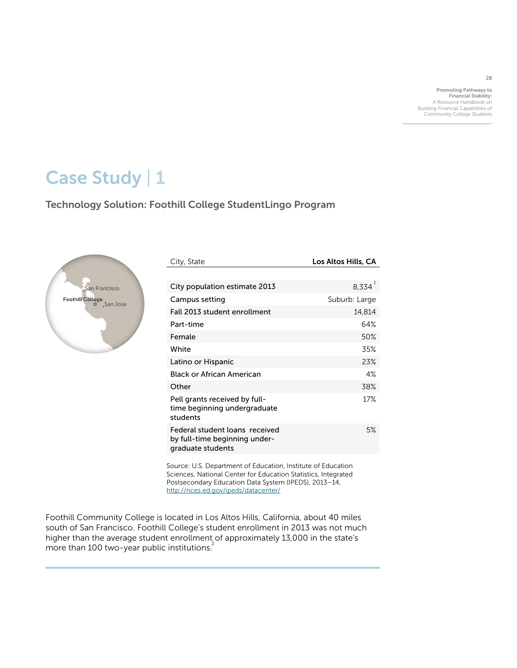Promoting Pathways to Financial Stability: A Resource Handbook on Building Financial Capabilities of Community College Students

28

# Case Study | 1

Technology Solution: Foothill College StudentLingo Program



| City, State                                                                          | Los Altos Hills, CA  |
|--------------------------------------------------------------------------------------|----------------------|
|                                                                                      |                      |
| City population estimate 2013                                                        | $8,334$ <sup>1</sup> |
| Campus setting                                                                       | Suburb: Large        |
| Fall 2013 student enrollment                                                         | 14,814               |
| Part-time                                                                            | 64%                  |
| Female                                                                               | 50%                  |
| White                                                                                | 35%                  |
| Latino or Hispanic                                                                   | 23%                  |
| Black or African American                                                            | 4%                   |
| Other                                                                                | 38%                  |
| Pell grants received by full-<br>time beginning undergraduate<br>students            | 17%                  |
| Federal student loans received<br>by full-time beginning under-<br>graduate students | 5%                   |

Source: U.S. Department of Education, Institute of Education Sciences, National Center for Education Statistics, Integrated Postsecondary Education Data System (IPEDS), 2013–14, <http://nces.ed.gov/ipeds/datacenter/>

Foothill Community College is located in Los Altos Hills, California, about 40 miles south of San Francisco. Foothill College's student enrollment in 2013 was not much higher than the average student enrollment of approximately 13,000 in the state's more than 100 two-year public institutions. $2$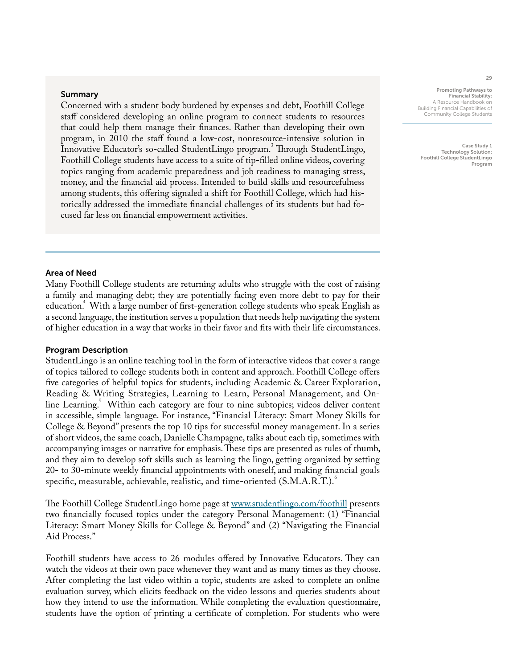#### Summary

Concerned with a student body burdened by expenses and debt, Foothill College staff considered developing an online program to connect students to resources that could help them manage their finances. Rather than developing their own program, in 2010 the staff found a low-cost, nonresource-intensive solution in Innovative Educator's so-called StudentLingo program.<sup>3</sup> Through StudentLingo, Foothill College students have access to a suite of tip-filled online videos, covering topics ranging from academic preparedness and job readiness to managing stress, money, and the financial aid process. Intended to build skills and resourcefulness among students, this offering signaled a shift for Foothill College, which had historically addressed the immediate financial challenges of its students but had focused far less on financial empowerment activities.

#### Promoting Pathways to Financial Stability: A Resource Handbook on Building Financial Capabilities of Community College Students

Case Study 1 Technology Solution: Foothill College StudentLingo Program

# Area of Need

Many Foothill College students are returning adults who struggle with the cost of raising a family and managing debt; they are potentially facing even more debt to pay for their education.<sup>4</sup> With a large number of first-generation college students who speak English as a second language, the institution serves a population that needs help navigating the system of higher education in a way that works in their favor and fits with their life circumstances.

#### Program Description

StudentLingo is an online teaching tool in the form of interactive videos that cover a range of topics tailored to college students both in content and approach. Foothill College offers five categories of helpful topics for students, including Academic & Career Exploration, Reading & Writing Strategies, Learning to Learn, Personal Management, and Online Learning.<sup>5</sup> Within each category are four to nine subtopics; videos deliver content in accessible, simple language. For instance, "Financial Literacy: Smart Money Skills for College & Beyond" presents the top 10 tips for successful money management. In a series of short videos, the same coach, Danielle Champagne, talks about each tip, sometimes with accompanying images or narrative for emphasis. These tips are presented as rules of thumb, and they aim to develop soft skills such as learning the lingo, getting organized by setting 20- to 30-minute weekly financial appointments with oneself, and making financial goals specific, measurable, achievable, realistic, and time-oriented (S.M.A.R.T.).<sup>6</sup>

The Foothill College StudentLingo home page at<www.studentlingo.com/foothill> presents two financially focused topics under the category Personal Management: (1) "Financial Literacy: Smart Money Skills for College & Beyond" and (2) "Navigating the Financial Aid Process."

Foothill students have access to 26 modules offered by Innovative Educators. They can watch the videos at their own pace whenever they want and as many times as they choose. After completing the last video within a topic, students are asked to complete an online evaluation survey, which elicits feedback on the video lessons and queries students about how they intend to use the information. While completing the evaluation questionnaire, students have the option of printing a certificate of completion. For students who were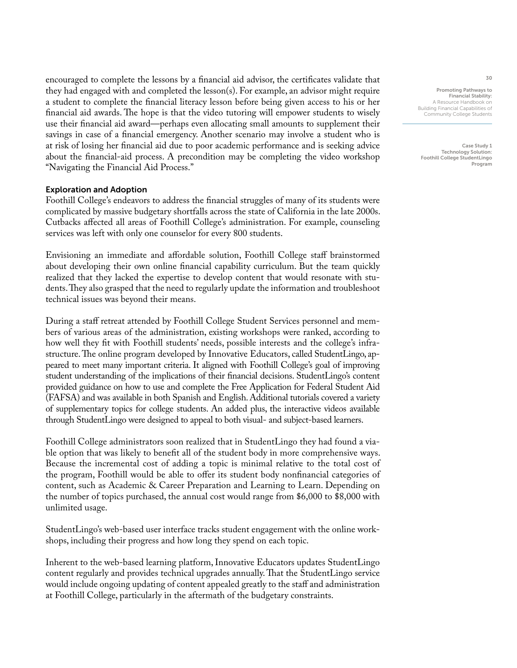encouraged to complete the lessons by a financial aid advisor, the certificates validate that they had engaged with and completed the lesson(s). For example, an advisor might require a student to complete the financial literacy lesson before being given access to his or her financial aid awards. The hope is that the video tutoring will empower students to wisely use their financial aid award—perhaps even allocating small amounts to supplement their savings in case of a financial emergency. Another scenario may involve a student who is at risk of losing her financial aid due to poor academic performance and is seeking advice about the financial-aid process. A precondition may be completing the video workshop "Navigating the Financial Aid Process."

# Exploration and Adoption

Foothill College's endeavors to address the financial struggles of many of its students were complicated by massive budgetary shortfalls across the state of California in the late 2000s. Cutbacks affected all areas of Foothill College's administration. For example, counseling services was left with only one counselor for every 800 students.

Envisioning an immediate and affordable solution, Foothill College staff brainstormed about developing their own online financial capability curriculum. But the team quickly realized that they lacked the expertise to develop content that would resonate with students. They also grasped that the need to regularly update the information and troubleshoot technical issues was beyond their means.

During a staff retreat attended by Foothill College Student Services personnel and members of various areas of the administration, existing workshops were ranked, according to how well they fit with Foothill students' needs, possible interests and the college's infrastructure. The online program developed by Innovative Educators, called StudentLingo, appeared to meet many important criteria. It aligned with Foothill College's goal of improving student understanding of the implications of their financial decisions. StudentLingo's content provided guidance on how to use and complete the Free Application for Federal Student Aid (FAFSA) and was available in both Spanish and English. Additional tutorials covered a variety of supplementary topics for college students. An added plus, the interactive videos available through StudentLingo were designed to appeal to both visual- and subject-based learners.

Foothill College administrators soon realized that in StudentLingo they had found a viable option that was likely to benefit all of the student body in more comprehensive ways. Because the incremental cost of adding a topic is minimal relative to the total cost of the program, Foothill would be able to offer its student body nonfinancial categories of content, such as Academic & Career Preparation and Learning to Learn. Depending on the number of topics purchased, the annual cost would range from \$6,000 to \$8,000 with unlimited usage.

StudentLingo's web-based user interface tracks student engagement with the online workshops, including their progress and how long they spend on each topic.

Inherent to the web-based learning platform, Innovative Educators updates StudentLingo content regularly and provides technical upgrades annually. That the StudentLingo service would include ongoing updating of content appealed greatly to the staff and administration at Foothill College, particularly in the aftermath of the budgetary constraints.

Promoting Pathways to Financial Stability: A Resource Handbook on Building Financial Capabilities of Community College Students

Case Study 1 Technology Solution: Foothill College StudentLingo Program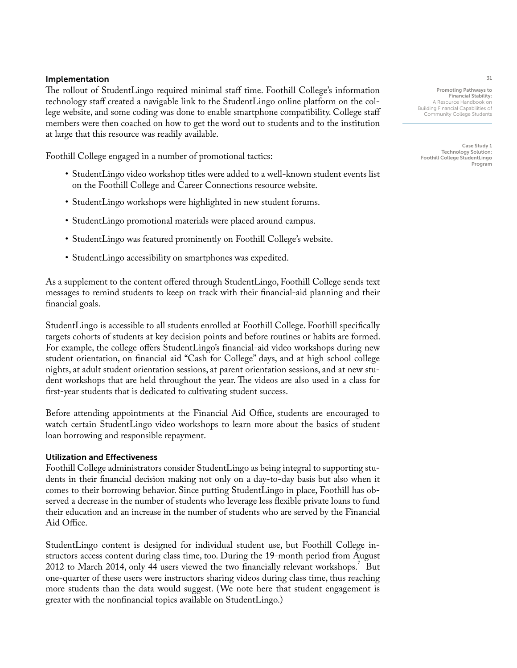# Implementation

The rollout of StudentLingo required minimal staff time. Foothill College's information technology staff created a navigable link to the StudentLingo online platform on the college website, and some coding was done to enable smartphone compatibility. College staff members were then coached on how to get the word out to students and to the institution at large that this resource was readily available.

Foothill College engaged in a number of promotional tactics:

- StudentLingo video workshop titles were added to a well-known student events list on the Foothill College and Career Connections resource website.
- StudentLingo workshops were highlighted in new student forums.
- StudentLingo promotional materials were placed around campus.
- StudentLingo was featured prominently on Foothill College's website.
- StudentLingo accessibility on smartphones was expedited.

As a supplement to the content offered through StudentLingo, Foothill College sends text messages to remind students to keep on track with their financial-aid planning and their financial goals.

StudentLingo is accessible to all students enrolled at Foothill College. Foothill specifically targets cohorts of students at key decision points and before routines or habits are formed. For example, the college offers StudentLingo's financial-aid video workshops during new student orientation, on financial aid "Cash for College" days, and at high school college nights, at adult student orientation sessions, at parent orientation sessions, and at new student workshops that are held throughout the year. The videos are also used in a class for first-year students that is dedicated to cultivating student success.

Before attending appointments at the Financial Aid Office, students are encouraged to watch certain StudentLingo video workshops to learn more about the basics of student loan borrowing and responsible repayment.

### Utilization and Effectiveness

Foothill College administrators consider StudentLingo as being integral to supporting students in their financial decision making not only on a day-to-day basis but also when it comes to their borrowing behavior. Since putting StudentLingo in place, Foothill has observed a decrease in the number of students who leverage less flexible private loans to fund their education and an increase in the number of students who are served by the Financial Aid Office.

StudentLingo content is designed for individual student use, but Foothill College instructors access content during class time, too. During the 19-month period from August 2012 to March 2014, only 44 users viewed the two financially relevant workshops.<sup>7</sup> But one-quarter of these users were instructors sharing videos during class time, thus reaching more students than the data would suggest. (We note here that student engagement is greater with the nonfinancial topics available on StudentLingo.)

Promoting Pathways to Financial Stability: A Resource Handbook on Building Financial Capabilities of Community College Students

Case Study 1 Technology Solution: Foothill College StudentLingo Program